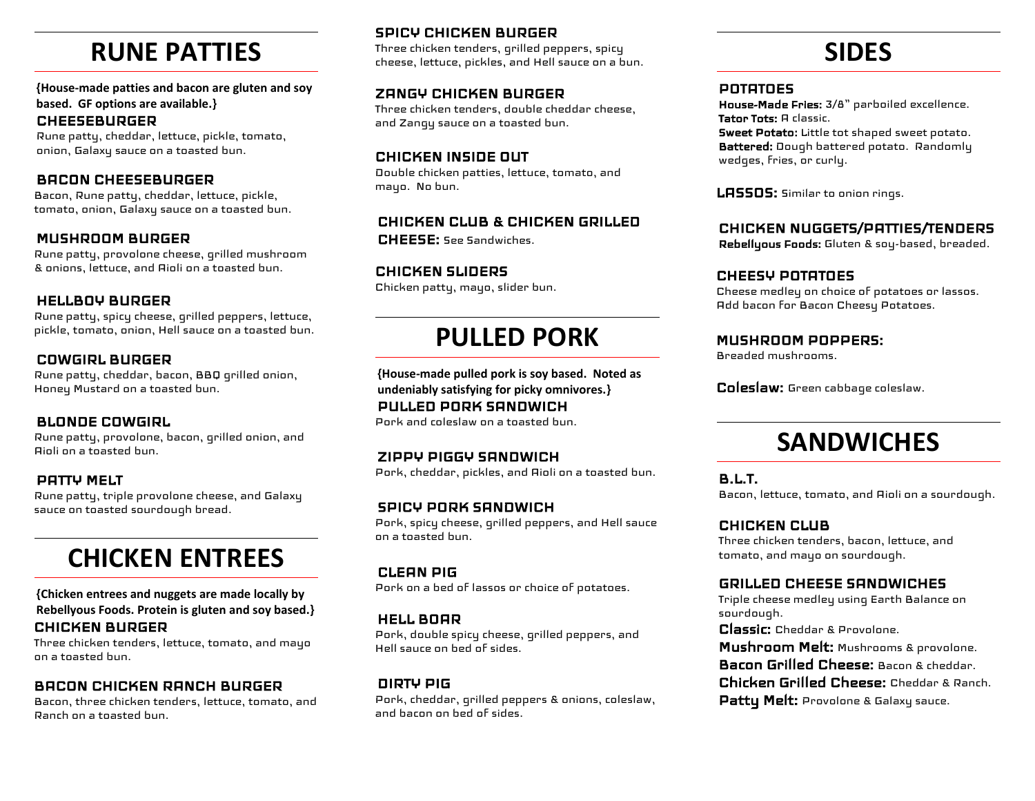## **RUNE PATTIES**

**{House-made patties and bacon are gluten and soy based. GF options are available.}**

#### **CHEESEBURGER**

Rune patty, cheddar, lettuce, pickle, tomato, onion, Galaxy sauce on a toasted bun.

#### $\overline{\phantom{0}}$ BACON CHEESEBURGER

Bacon, Rune patty, cheddar, lettuce, pickle, tomato, onion, Galaxy sauce on a toasted bun.

#### $\overline{a}$ MUSHROOM BURGER

Rune patty, provolone cheese, grilled mushroom & onions, lettuce, and Aioli on a toasted bun.

### HELLBOY BURGER

Rune patty, spicy cheese, grilled peppers, lettuce, pickle, tomato, onion, Hell sauce on a toasted bun.

### COWGIRL BURGER

Rune patty, cheddar, bacon, BBQ grilled onion, Honey Mustard on a toasted bun.

#### BLONDE COWGIRL

Rune patty, provolone, bacon, grilled onion, and Aioli on a toasted bun.

#### PATTY MELT

Rune patty, triple provolone cheese, and Galaxy sauce on toasted sourdough bread. Ĩ

## **CHICKEN ENTREES**

**{Chicken entrees and nuggets are made locally by Rebellyous Foods. Protein is gluten and soy based.}** CHICKEN BURGER

Three chicken tenders, lettuce, tomato, and mayo on a toasted bun.

#### BACON CHICKEN RANCH BURGER

Bacon, three chicken tenders, lettuce, tomato, and Ranch on a toasted bun.

### SPICY CHICKEN BURGER

Three chicken tenders, grilled peppers, spicy cheese, lettuce, pickles, and Hell sauce on a bun.

## ZANGY CHICKEN BURGER

Three chicken tenders, double cheddar cheese, and Zangy sauce on a toasted bun.

### CHICKEN INSIDE OUT

Double chicken patties, lettuce, tomato, and mayo. No bun.

#### CHICKEN CLUB & CHICKEN GRILLED

CHEESE: See Sandwiches.

#### CHICKEN SLIDERS Chicken patty, mayo, slider bun.

## **PULLED PORK**

**{House-made pulled pork is soy based. Noted as undeniably satisfying for picky omnivores.}** PULLED PORK SANDWICH

Pork and coleslaw on a toasted bun.

## ZIPPY PIGGY SANDWICH

Pork, cheddar, pickles, and Aioli on a toasted bun.

## SPICY PORK SANDWICH

Pork, spicy cheese, grilled peppers, and Hell sauce on a toasted bun.

#### CLEAN PIG

Pork on a bed of lassos or choice of potatoes.

#### HELL BOAR

Pork, double spicy cheese, grilled peppers, and Hell sauce on bed of sides.

### DIRTY PIG

Pork, cheddar, grilled peppers & onions, coleslaw, and bacon on bed of sides.

## **SIDES**

#### POTATOES

House-Made Fries: 3/8" parboiled excellence. Tator Tots: A classic. Sweet Potato: Little tot shaped sweet potato.

Battered: Dough battered potato. Randomly wedges, fries, or curly.

LASSOS: Similar to onion rings.

### CHICKEN NUGGETS/PATTIES/TENDERS

Rebellyous Foods: Gluten & soy-based, breaded.

#### CHEESY POTATOES

Cheese medley on choice of potatoes or lassos. Add bacon for Bacon Cheesy Potatoes.

#### l, MUSHROOM POPPERS:

Breaded mushrooms.

Coleslaw: Green cabbage coleslaw.

## **SANDWICHES**

B.L.T.

Bacon, lettuce, tomato, and Aioli on a sourdough.

#### CHICKEN CLUB

Three chicken tenders, bacon, lettuce, and tomato, and mayo on sourdough.

#### L GRILLED CHEESE SANDWICHES

Triple cheese medley using Earth Balance on sourdough.

Classic: Cheddar & Provolone.

Mushroom Melt: Mushrooms & provolone.

Bacon Grilled Cheese: Bacon & cheddar.

Chicken Grilled Cheese: Cheddar & Ranch.

Patty Melt: Provolone & Galaxy sauce.